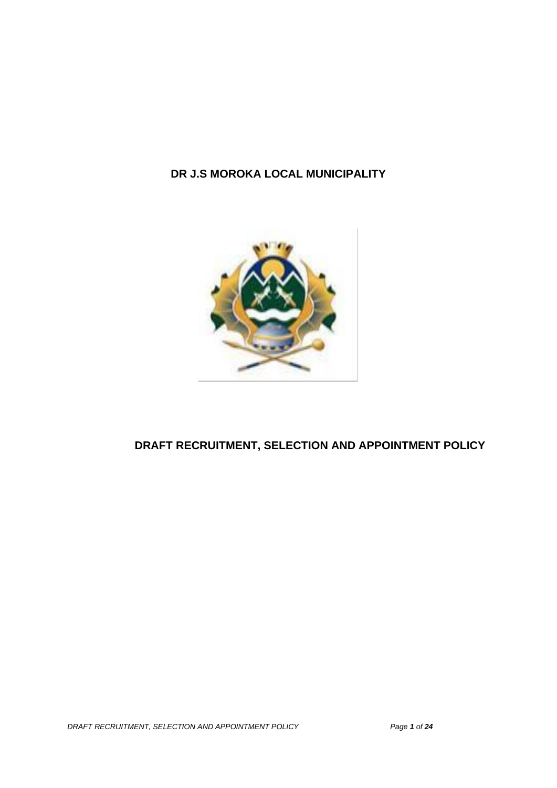# **DR J.S MOROKA LOCAL MUNICIPALITY**



# **DRAFT RECRUITMENT, SELECTION AND APPOINTMENT POLICY**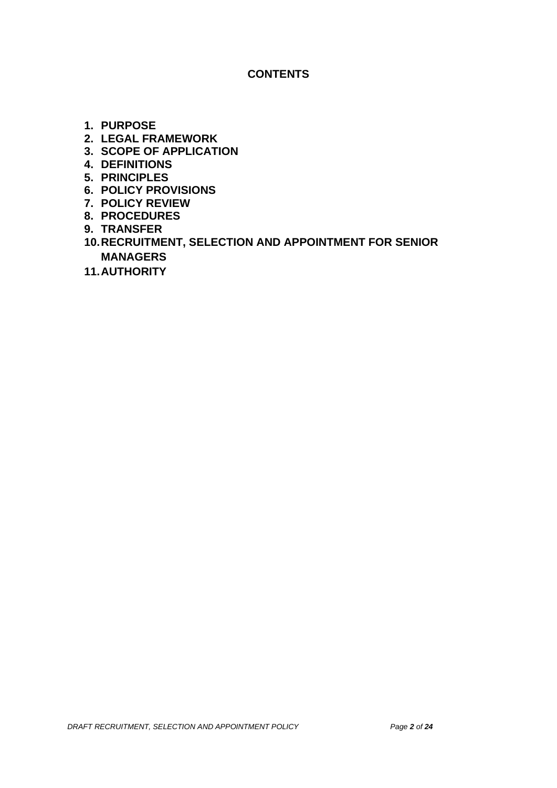#### **CONTENTS**

- **1. PURPOSE**
- **2. LEGAL FRAMEWORK**
- **3. SCOPE OF APPLICATION**
- **4. DEFINITIONS**
- **5. PRINCIPLES**
- **6. POLICY PROVISIONS**
- **7. POLICY REVIEW**
- **8. PROCEDURES**
- **9. TRANSFER**
- **10.RECRUITMENT, SELECTION AND APPOINTMENT FOR SENIOR MANAGERS**
- **11.AUTHORITY**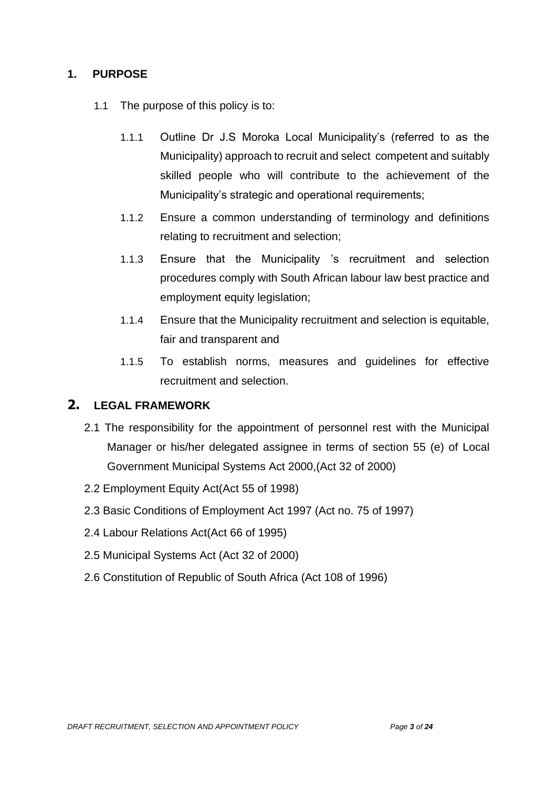### **1. PURPOSE**

- 1.1 The purpose of this policy is to:
	- 1.1.1 Outline Dr J.S Moroka Local Municipality's (referred to as the Municipality) approach to recruit and select competent and suitably skilled people who will contribute to the achievement of the Municipality's strategic and operational requirements;
	- 1.1.2 Ensure a common understanding of terminology and definitions relating to recruitment and selection;
	- 1.1.3 Ensure that the Municipality 's recruitment and selection procedures comply with South African labour law best practice and employment equity legislation;
	- 1.1.4 Ensure that the Municipality recruitment and selection is equitable, fair and transparent and
	- 1.1.5 To establish norms, measures and guidelines for effective recruitment and selection.

## **2. LEGAL FRAMEWORK**

- 2.1 The responsibility for the appointment of personnel rest with the Municipal Manager or his/her delegated assignee in terms of section 55 (e) of Local Government Municipal Systems Act 2000,(Act 32 of 2000)
- 2.2 Employment Equity Act(Act 55 of 1998)
- 2.3 Basic Conditions of Employment Act 1997 (Act no. 75 of 1997)
- 2.4 Labour Relations Act(Act 66 of 1995)
- 2.5 Municipal Systems Act (Act 32 of 2000)
- 2.6 Constitution of Republic of South Africa (Act 108 of 1996)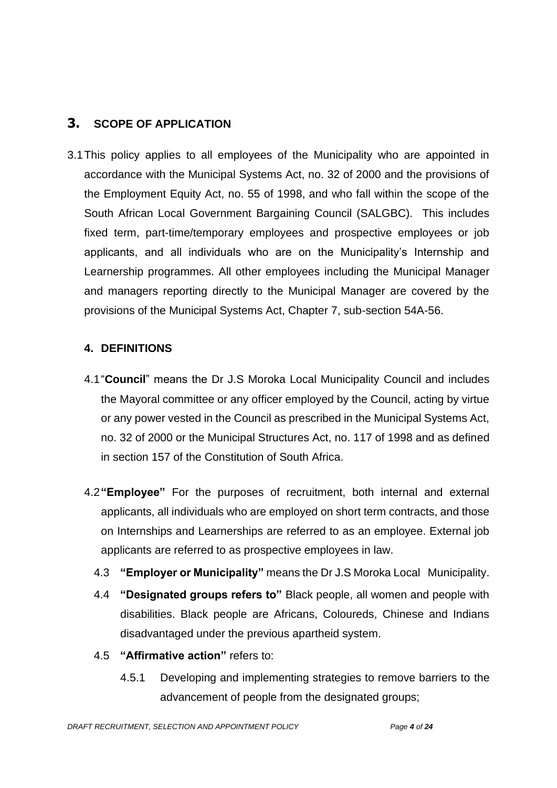# **3. SCOPE OF APPLICATION**

3.1This policy applies to all employees of the Municipality who are appointed in accordance with the Municipal Systems Act, no. 32 of 2000 and the provisions of the Employment Equity Act, no. 55 of 1998, and who fall within the scope of the South African Local Government Bargaining Council (SALGBC). This includes fixed term, part-time/temporary employees and prospective employees or job applicants, and all individuals who are on the Municipality's Internship and Learnership programmes. All other employees including the Municipal Manager and managers reporting directly to the Municipal Manager are covered by the provisions of the Municipal Systems Act, Chapter 7, sub-section 54A-56.

### **4. DEFINITIONS**

- 4.1"**Council**" means the Dr J.S Moroka Local Municipality Council and includes the Mayoral committee or any officer employed by the Council, acting by virtue or any power vested in the Council as prescribed in the Municipal Systems Act, no. 32 of 2000 or the Municipal Structures Act, no. 117 of 1998 and as defined in section 157 of the Constitution of South Africa.
- 4.2**"Employee"** For the purposes of recruitment, both internal and external applicants, all individuals who are employed on short term contracts, and those on Internships and Learnerships are referred to as an employee. External job applicants are referred to as prospective employees in law.
	- 4.3 **"Employer or Municipality"** means the Dr J.S Moroka Local Municipality.
	- 4.4 **"Designated groups refers to"** Black people, all women and people with disabilities. Black people are Africans, Coloureds, Chinese and Indians disadvantaged under the previous apartheid system.
	- 4.5 **"Affirmative action"** refers to:
		- 4.5.1 Developing and implementing strategies to remove barriers to the advancement of people from the designated groups;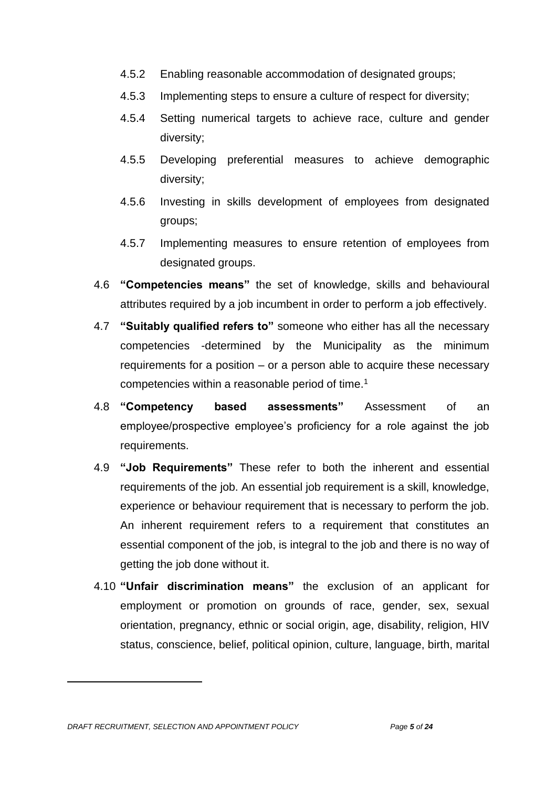- 4.5.2 Enabling reasonable accommodation of designated groups;
- 4.5.3 Implementing steps to ensure a culture of respect for diversity;
- 4.5.4 Setting numerical targets to achieve race, culture and gender diversity;
- 4.5.5 Developing preferential measures to achieve demographic diversity;
- 4.5.6 Investing in skills development of employees from designated groups;
- 4.5.7 Implementing measures to ensure retention of employees from designated groups.
- 4.6 **"Competencies means"** the set of knowledge, skills and behavioural attributes required by a job incumbent in order to perform a job effectively.
- 4.7 **"Suitably qualified refers to"** someone who either has all the necessary competencies -determined by the Municipality as the minimum requirements for a position – or a person able to acquire these necessary competencies within a reasonable period of time.<sup>1</sup>
- 4.8 **"Competency based assessments"** Assessment of an employee/prospective employee's proficiency for a role against the job requirements.
- 4.9 **"Job Requirements"** These refer to both the inherent and essential requirements of the job. An essential job requirement is a skill, knowledge, experience or behaviour requirement that is necessary to perform the job. An inherent requirement refers to a requirement that constitutes an essential component of the job, is integral to the job and there is no way of getting the job done without it.
- 4.10 **"Unfair discrimination means"** the exclusion of an applicant for employment or promotion on grounds of race, gender, sex, sexual orientation, pregnancy, ethnic or social origin, age, disability, religion, HIV status, conscience, belief, political opinion, culture, language, birth, marital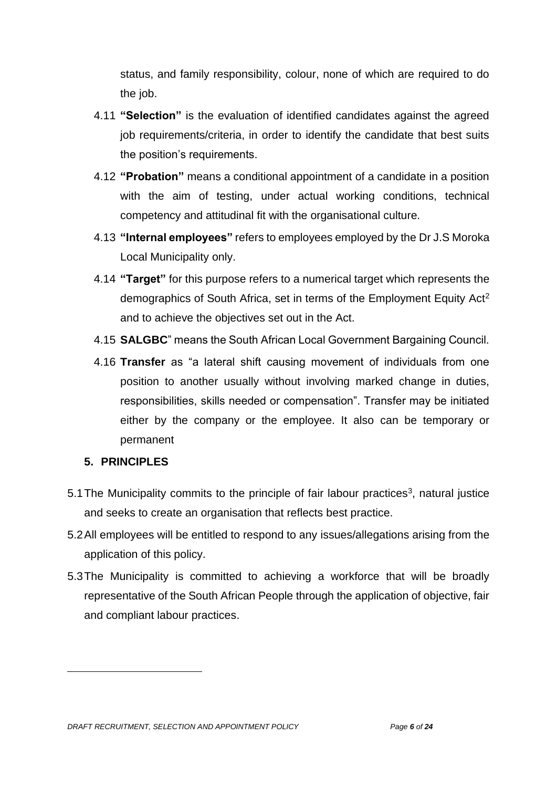status, and family responsibility, colour, none of which are required to do the job.

- 4.11 **"Selection"** is the evaluation of identified candidates against the agreed job requirements/criteria, in order to identify the candidate that best suits the position's requirements.
- 4.12 **"Probation"** means a conditional appointment of a candidate in a position with the aim of testing, under actual working conditions, technical competency and attitudinal fit with the organisational culture.
- 4.13 **"Internal employees"** refers to employees employed by the Dr J.S Moroka Local Municipality only.
- 4.14 **"Target"** for this purpose refers to a numerical target which represents the demographics of South Africa, set in terms of the Employment Equity Act<sup>2</sup> and to achieve the objectives set out in the Act.
- 4.15 **SALGBC**" means the South African Local Government Bargaining Council.
- 4.16 **Transfer** as "a lateral shift causing movement of individuals from one position to another usually without involving marked change in duties, responsibilities, skills needed or compensation". Transfer may be initiated either by the company or the employee. It also can be temporary or permanent

#### **5. PRINCIPLES**

- 5.1 The Municipality commits to the principle of fair labour practices<sup>3</sup>, natural justice and seeks to create an organisation that reflects best practice.
- 5.2All employees will be entitled to respond to any issues/allegations arising from the application of this policy.
- 5.3The Municipality is committed to achieving a workforce that will be broadly representative of the South African People through the application of objective, fair and compliant labour practices.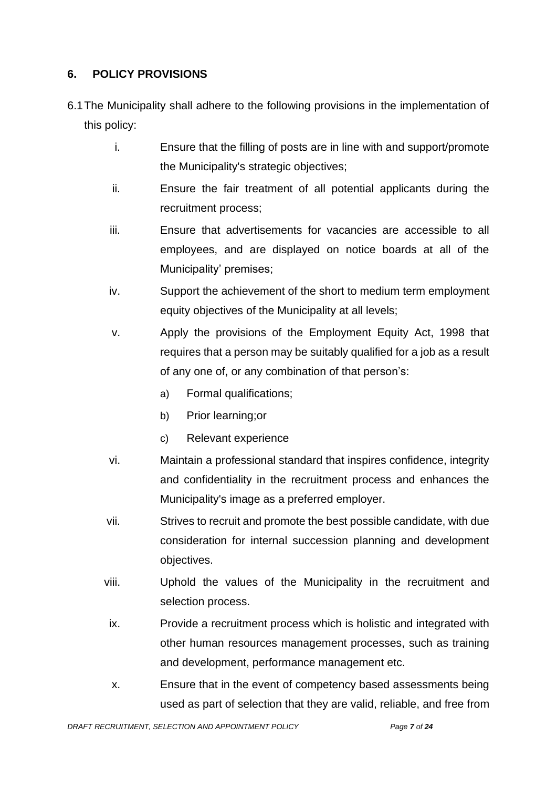### **6. POLICY PROVISIONS**

- 6.1The Municipality shall adhere to the following provisions in the implementation of this policy:
	- i. Ensure that the filling of posts are in line with and support/promote the Municipality's strategic objectives;
	- ii. Ensure the fair treatment of all potential applicants during the recruitment process;
	- iii. Ensure that advertisements for vacancies are accessible to all employees, and are displayed on notice boards at all of the Municipality' premises;
	- iv. Support the achievement of the short to medium term employment equity objectives of the Municipality at all levels;
	- v. Apply the provisions of the Employment Equity Act, 1998 that requires that a person may be suitably qualified for a job as a result of any one of, or any combination of that person's:
		- a) Formal qualifications;
		- b) Prior learning;or
		- c) Relevant experience
	- vi. Maintain a professional standard that inspires confidence, integrity and confidentiality in the recruitment process and enhances the Municipality's image as a preferred employer.
	- vii. Strives to recruit and promote the best possible candidate, with due consideration for internal succession planning and development objectives.
	- viii. Uphold the values of the Municipality in the recruitment and selection process.
	- ix. Provide a recruitment process which is holistic and integrated with other human resources management processes, such as training and development, performance management etc.
	- x. Ensure that in the event of competency based assessments being used as part of selection that they are valid, reliable, and free from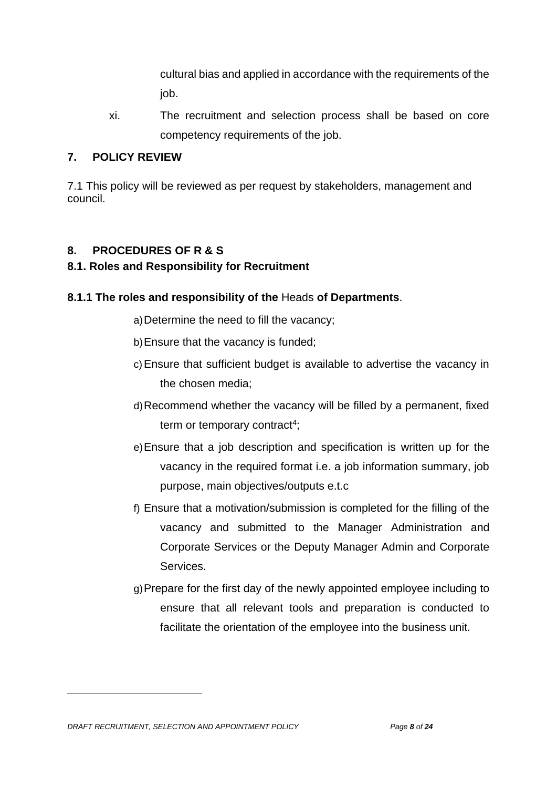cultural bias and applied in accordance with the requirements of the job.

xi. The recruitment and selection process shall be based on core competency requirements of the job.

### **7. POLICY REVIEW**

7.1 This policy will be reviewed as per request by stakeholders, management and council.

### **8. PROCEDURES OF R & S**

### **8.1. Roles and Responsibility for Recruitment**

### **8.1.1 The roles and responsibility of the** Heads **of Departments**.

a)Determine the need to fill the vacancy;

- b)Ensure that the vacancy is funded;
- c)Ensure that sufficient budget is available to advertise the vacancy in the chosen media;
- d)Recommend whether the vacancy will be filled by a permanent, fixed term or temporary contract<sup>4</sup>;
- e)Ensure that a job description and specification is written up for the vacancy in the required format i.e. a job information summary, job purpose, main objectives/outputs e.t.c
- f) Ensure that a motivation/submission is completed for the filling of the vacancy and submitted to the Manager Administration and Corporate Services or the Deputy Manager Admin and Corporate Services.
- g)Prepare for the first day of the newly appointed employee including to ensure that all relevant tools and preparation is conducted to facilitate the orientation of the employee into the business unit.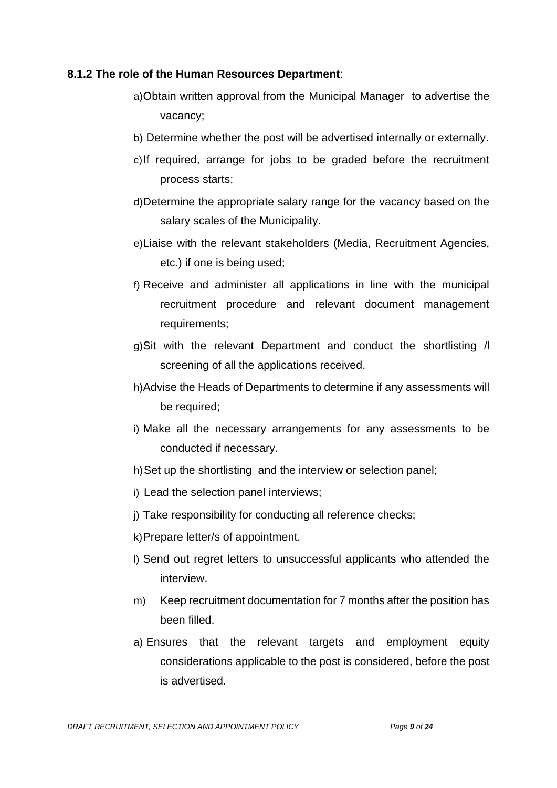#### **8.1.2 The role of the Human Resources Department**:

- a)Obtain written approval from the Municipal Manager to advertise the vacancy;
- b) Determine whether the post will be advertised internally or externally.
- c)If required, arrange for jobs to be graded before the recruitment process starts;
- d)Determine the appropriate salary range for the vacancy based on the salary scales of the Municipality.
- e)Liaise with the relevant stakeholders (Media, Recruitment Agencies, etc.) if one is being used;
- f) Receive and administer all applications in line with the municipal recruitment procedure and relevant document management requirements;
- g)Sit with the relevant Department and conduct the shortlisting /l screening of all the applications received.
- h)Advise the Heads of Departments to determine if any assessments will be required;
- i) Make all the necessary arrangements for any assessments to be conducted if necessary.
- h)Set up the shortlisting and the interview or selection panel;
- i) Lead the selection panel interviews;
- j) Take responsibility for conducting all reference checks;
- k)Prepare letter/s of appointment.
- l) Send out regret letters to unsuccessful applicants who attended the interview.
- m) Keep recruitment documentation for 7 months after the position has been filled.
- a) Ensures that the relevant targets and employment equity considerations applicable to the post is considered, before the post is advertised.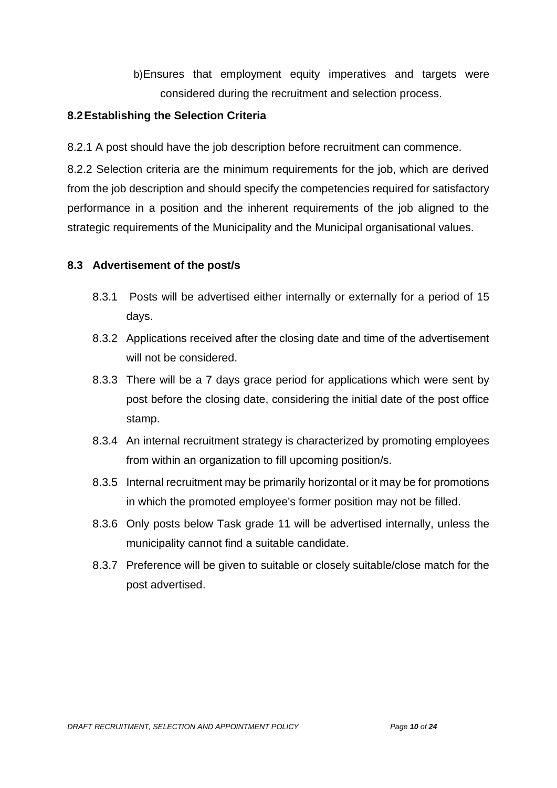b)Ensures that employment equity imperatives and targets were considered during the recruitment and selection process.

#### **8.2Establishing the Selection Criteria**

8.2.1 A post should have the job description before recruitment can commence.

8.2.2 Selection criteria are the minimum requirements for the job, which are derived from the job description and should specify the competencies required for satisfactory performance in a position and the inherent requirements of the job aligned to the strategic requirements of the Municipality and the Municipal organisational values.

#### **8.3 Advertisement of the post/s**

- 8.3.1 Posts will be advertised either internally or externally for a period of 15 days.
- 8.3.2 Applications received after the closing date and time of the advertisement will not be considered.
- 8.3.3 There will be a 7 days grace period for applications which were sent by post before the closing date, considering the initial date of the post office stamp.
- 8.3.4 An internal recruitment strategy is characterized by promoting employees from within an organization to fill upcoming position/s.
- 8.3.5 Internal recruitment may be primarily horizontal or it may be for promotions in which the promoted employee's former position may not be filled.
- 8.3.6 Only posts below Task grade 11 will be advertised internally, unless the municipality cannot find a suitable candidate.
- 8.3.7 Preference will be given to suitable or closely suitable/close match for the post advertised.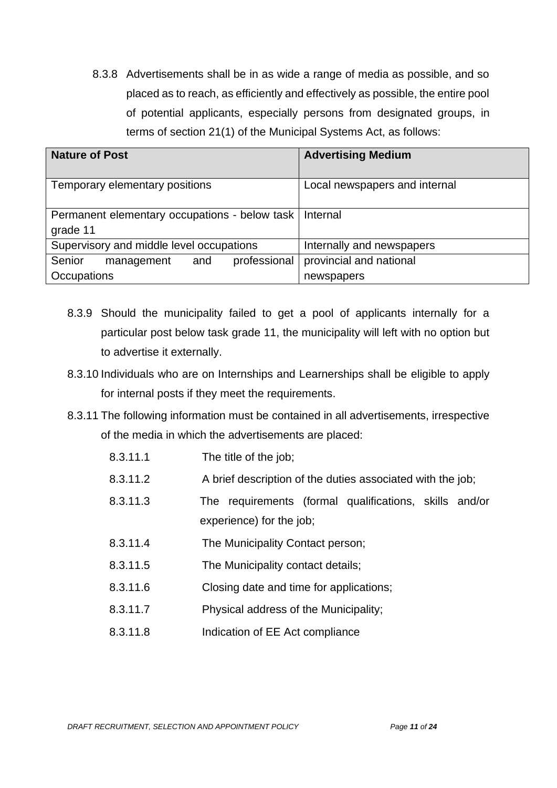8.3.8 Advertisements shall be in as wide a range of media as possible, and so placed as to reach, as efficiently and effectively as possible, the entire pool of potential applicants, especially persons from designated groups, in terms of section 21(1) of the Municipal Systems Act, as follows:

| <b>Nature of Post</b>                                                | <b>Advertising Medium</b>     |
|----------------------------------------------------------------------|-------------------------------|
| Temporary elementary positions                                       | Local newspapers and internal |
| Permanent elementary occupations - below task   Internal<br>grade 11 |                               |
| Supervisory and middle level occupations                             | Internally and newspapers     |
| Senior<br>professional<br>and<br>management                          | provincial and national       |
| Occupations                                                          | newspapers                    |

- 8.3.9 Should the municipality failed to get a pool of applicants internally for a particular post below task grade 11, the municipality will left with no option but to advertise it externally.
- 8.3.10 Individuals who are on Internships and Learnerships shall be eligible to apply for internal posts if they meet the requirements.
- 8.3.11 The following information must be contained in all advertisements, irrespective of the media in which the advertisements are placed:
	- 8.3.11.1 The title of the job;
	- 8.3.11.2 A brief description of the duties associated with the job;
	- 8.3.11.3 The requirements (formal qualifications, skills and/or experience) for the job;
	- 8.3.11.4 The Municipality Contact person;
	- 8.3.11.5 The Municipality contact details;
	- 8.3.11.6 Closing date and time for applications;
	- 8.3.11.7 Physical address of the Municipality;
	- 8.3.11.8 Indication of EE Act compliance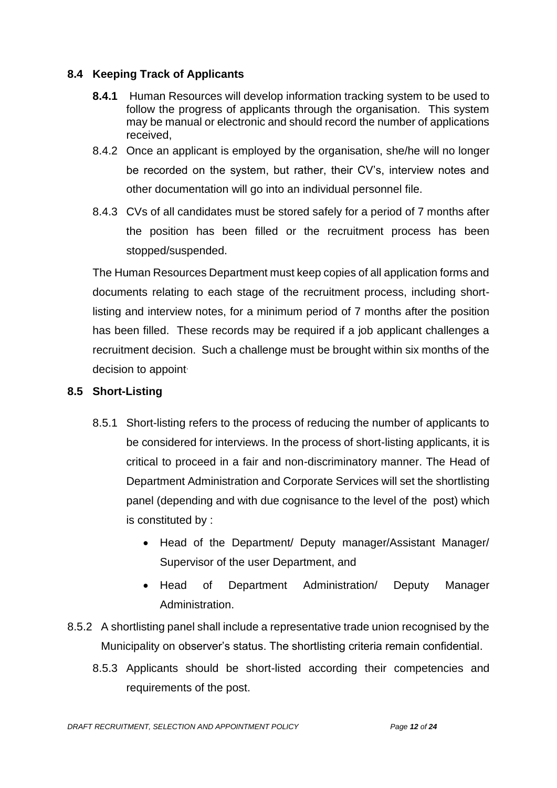### **8.4 Keeping Track of Applicants**

- **8.4.1** Human Resources will develop information tracking system to be used to follow the progress of applicants through the organisation. This system may be manual or electronic and should record the number of applications received,
- 8.4.2 Once an applicant is employed by the organisation, she/he will no longer be recorded on the system, but rather, their CV's, interview notes and other documentation will go into an individual personnel file.
- 8.4.3 CVs of all candidates must be stored safely for a period of 7 months after the position has been filled or the recruitment process has been stopped/suspended.

The Human Resources Department must keep copies of all application forms and documents relating to each stage of the recruitment process, including shortlisting and interview notes, for a minimum period of 7 months after the position has been filled. These records may be required if a job applicant challenges a recruitment decision. Such a challenge must be brought within six months of the decision to appoint.

### **8.5 Short-Listing**

- 8.5.1 Short-listing refers to the process of reducing the number of applicants to be considered for interviews. In the process of short-listing applicants, it is critical to proceed in a fair and non-discriminatory manner. The Head of Department Administration and Corporate Services will set the shortlisting panel (depending and with due cognisance to the level of the post) which is constituted by :
	- Head of the Department/ Deputy manager/Assistant Manager/ Supervisor of the user Department, and
	- Head of Department Administration/ Deputy Manager Administration.
- 8.5.2 A shortlisting panel shall include a representative trade union recognised by the Municipality on observer's status. The shortlisting criteria remain confidential.
	- 8.5.3 Applicants should be short-listed according their competencies and requirements of the post.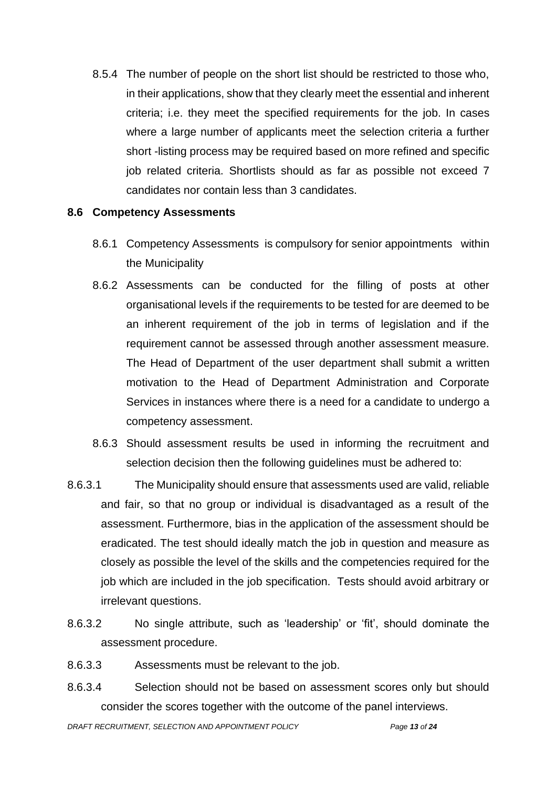8.5.4 The number of people on the short list should be restricted to those who, in their applications, show that they clearly meet the essential and inherent criteria; i.e. they meet the specified requirements for the job. In cases where a large number of applicants meet the selection criteria a further short -listing process may be required based on more refined and specific job related criteria. Shortlists should as far as possible not exceed 7 candidates nor contain less than 3 candidates.

#### **8.6 Competency Assessments**

- 8.6.1 Competency Assessments is compulsory for senior appointments within the Municipality
- 8.6.2 Assessments can be conducted for the filling of posts at other organisational levels if the requirements to be tested for are deemed to be an inherent requirement of the job in terms of legislation and if the requirement cannot be assessed through another assessment measure. The Head of Department of the user department shall submit a written motivation to the Head of Department Administration and Corporate Services in instances where there is a need for a candidate to undergo a competency assessment.
- 8.6.3 Should assessment results be used in informing the recruitment and selection decision then the following guidelines must be adhered to:
- 8.6.3.1 The Municipality should ensure that assessments used are valid, reliable and fair, so that no group or individual is disadvantaged as a result of the assessment. Furthermore, bias in the application of the assessment should be eradicated. The test should ideally match the job in question and measure as closely as possible the level of the skills and the competencies required for the job which are included in the job specification. Tests should avoid arbitrary or irrelevant questions.
- 8.6.3.2 No single attribute, such as 'leadership' or 'fit', should dominate the assessment procedure.
- 8.6.3.3 Assessments must be relevant to the job.
- 8.6.3.4 Selection should not be based on assessment scores only but should consider the scores together with the outcome of the panel interviews.

*DRAFT RECRUITMENT, SELECTION AND APPOINTMENT POLICY Page 13 of 24*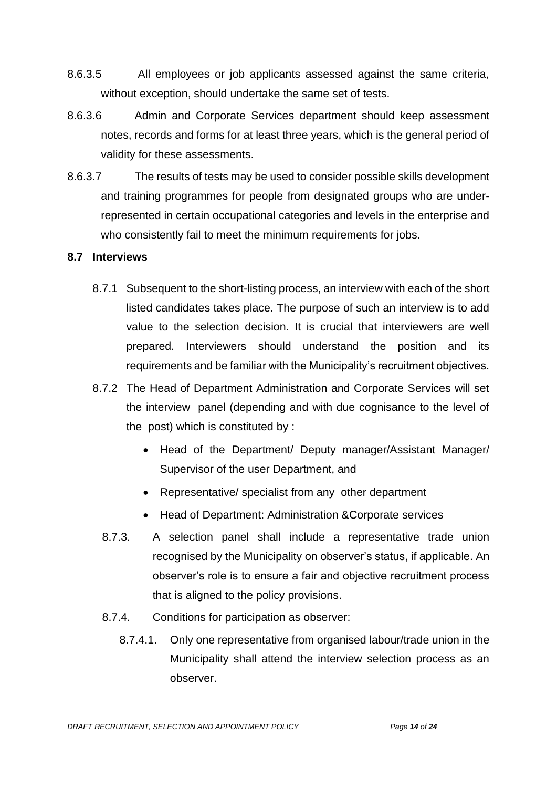- 8.6.3.5 All employees or job applicants assessed against the same criteria, without exception, should undertake the same set of tests.
- 8.6.3.6 Admin and Corporate Services department should keep assessment notes, records and forms for at least three years, which is the general period of validity for these assessments.
- 8.6.3.7 The results of tests may be used to consider possible skills development and training programmes for people from designated groups who are underrepresented in certain occupational categories and levels in the enterprise and who consistently fail to meet the minimum requirements for jobs.

#### **8.7 Interviews**

- 8.7.1 Subsequent to the short-listing process, an interview with each of the short listed candidates takes place. The purpose of such an interview is to add value to the selection decision. It is crucial that interviewers are well prepared. Interviewers should understand the position and its requirements and be familiar with the Municipality's recruitment objectives.
- 8.7.2 The Head of Department Administration and Corporate Services will set the interview panel (depending and with due cognisance to the level of the post) which is constituted by :
	- Head of the Department/ Deputy manager/Assistant Manager/ Supervisor of the user Department, and
	- Representative/ specialist from any other department
	- Head of Department: Administration &Corporate services
	- 8.7.3. A selection panel shall include a representative trade union recognised by the Municipality on observer's status, if applicable. An observer's role is to ensure a fair and objective recruitment process that is aligned to the policy provisions.
	- 8.7.4. Conditions for participation as observer:
		- 8.7.4.1. Only one representative from organised labour/trade union in the Municipality shall attend the interview selection process as an observer.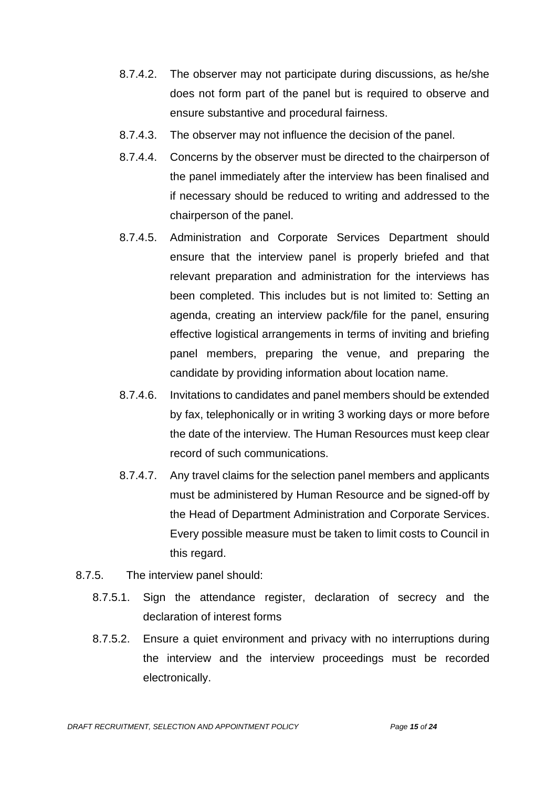- 8.7.4.2. The observer may not participate during discussions, as he/she does not form part of the panel but is required to observe and ensure substantive and procedural fairness.
- 8.7.4.3. The observer may not influence the decision of the panel.
- 8.7.4.4. Concerns by the observer must be directed to the chairperson of the panel immediately after the interview has been finalised and if necessary should be reduced to writing and addressed to the chairperson of the panel.
- 8.7.4.5. Administration and Corporate Services Department should ensure that the interview panel is properly briefed and that relevant preparation and administration for the interviews has been completed. This includes but is not limited to: Setting an agenda, creating an interview pack/file for the panel, ensuring effective logistical arrangements in terms of inviting and briefing panel members, preparing the venue, and preparing the candidate by providing information about location name.
- 8.7.4.6. Invitations to candidates and panel members should be extended by fax, telephonically or in writing 3 working days or more before the date of the interview. The Human Resources must keep clear record of such communications.
- 8.7.4.7. Any travel claims for the selection panel members and applicants must be administered by Human Resource and be signed-off by the Head of Department Administration and Corporate Services. Every possible measure must be taken to limit costs to Council in this regard.
- 8.7.5. The interview panel should:
	- 8.7.5.1. Sign the attendance register, declaration of secrecy and the declaration of interest forms
	- 8.7.5.2. Ensure a quiet environment and privacy with no interruptions during the interview and the interview proceedings must be recorded electronically.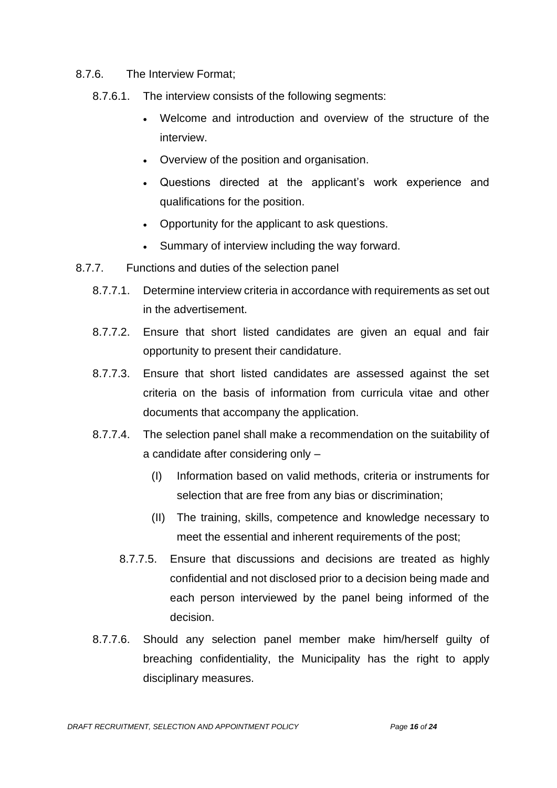- 8.7.6. The Interview Format;
	- 8.7.6.1. The interview consists of the following segments:
		- Welcome and introduction and overview of the structure of the interview.
		- Overview of the position and organisation.
		- Questions directed at the applicant's work experience and qualifications for the position.
		- Opportunity for the applicant to ask questions.
		- Summary of interview including the way forward.
- 8.7.7. Functions and duties of the selection panel
	- 8.7.7.1. Determine interview criteria in accordance with requirements as set out in the advertisement.
	- 8.7.7.2. Ensure that short listed candidates are given an equal and fair opportunity to present their candidature.
	- 8.7.7.3. Ensure that short listed candidates are assessed against the set criteria on the basis of information from curricula vitae and other documents that accompany the application.
	- 8.7.7.4. The selection panel shall make a recommendation on the suitability of a candidate after considering only –
		- (I) Information based on valid methods, criteria or instruments for selection that are free from any bias or discrimination;
		- (II) The training, skills, competence and knowledge necessary to meet the essential and inherent requirements of the post;
		- 8.7.7.5. Ensure that discussions and decisions are treated as highly confidential and not disclosed prior to a decision being made and each person interviewed by the panel being informed of the decision.
	- 8.7.7.6. Should any selection panel member make him/herself guilty of breaching confidentiality, the Municipality has the right to apply disciplinary measures.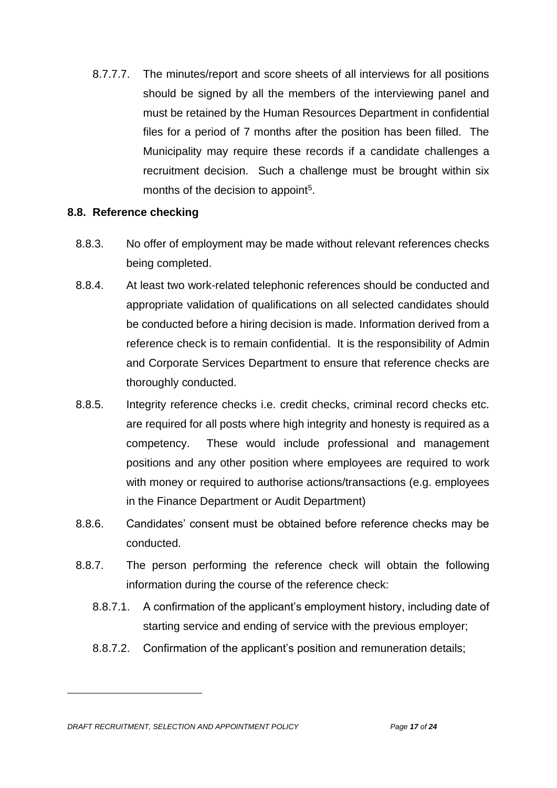8.7.7.7. The minutes/report and score sheets of all interviews for all positions should be signed by all the members of the interviewing panel and must be retained by the Human Resources Department in confidential files for a period of 7 months after the position has been filled. The Municipality may require these records if a candidate challenges a recruitment decision. Such a challenge must be brought within six months of the decision to appoint<sup>5</sup>.

#### **8.8. Reference checking**

- 8.8.3. No offer of employment may be made without relevant references checks being completed.
- 8.8.4. At least two work-related telephonic references should be conducted and appropriate validation of qualifications on all selected candidates should be conducted before a hiring decision is made. Information derived from a reference check is to remain confidential. It is the responsibility of Admin and Corporate Services Department to ensure that reference checks are thoroughly conducted.
- 8.8.5. Integrity reference checks i.e. credit checks, criminal record checks etc. are required for all posts where high integrity and honesty is required as a competency. These would include professional and management positions and any other position where employees are required to work with money or required to authorise actions/transactions (e.g. employees in the Finance Department or Audit Department)
- 8.8.6. Candidates' consent must be obtained before reference checks may be conducted.
- 8.8.7. The person performing the reference check will obtain the following information during the course of the reference check:
	- 8.8.7.1. A confirmation of the applicant's employment history, including date of starting service and ending of service with the previous employer;
	- 8.8.7.2. Confirmation of the applicant's position and remuneration details;

*DRAFT RECRUITMENT, SELECTION AND APPOINTMENT POLICY Page 17 of 24*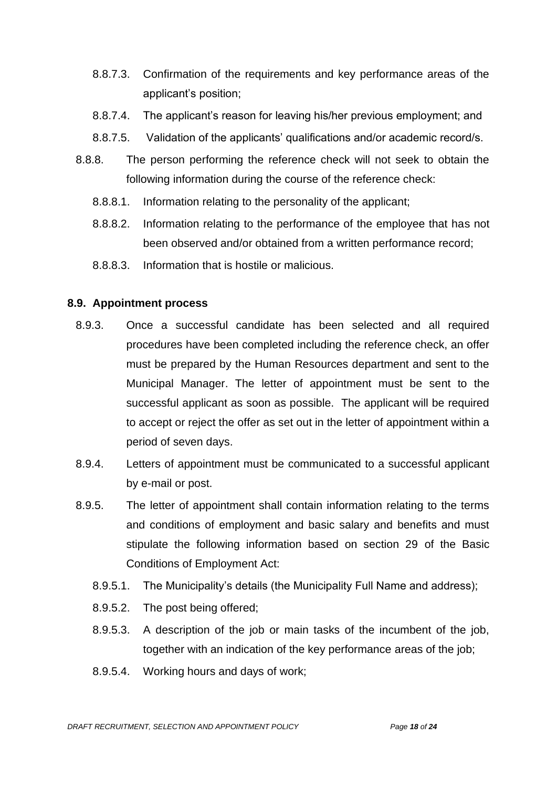- 8.8.7.3. Confirmation of the requirements and key performance areas of the applicant's position;
- 8.8.7.4. The applicant's reason for leaving his/her previous employment; and
- 8.8.7.5. Validation of the applicants' qualifications and/or academic record/s.
- 8.8.8. The person performing the reference check will not seek to obtain the following information during the course of the reference check:
	- 8.8.8.1. Information relating to the personality of the applicant;
	- 8.8.8.2. Information relating to the performance of the employee that has not been observed and/or obtained from a written performance record;
	- 8.8.8.3. Information that is hostile or malicious.

#### **8.9. Appointment process**

- 8.9.3. Once a successful candidate has been selected and all required procedures have been completed including the reference check, an offer must be prepared by the Human Resources department and sent to the Municipal Manager. The letter of appointment must be sent to the successful applicant as soon as possible. The applicant will be required to accept or reject the offer as set out in the letter of appointment within a period of seven days.
- 8.9.4. Letters of appointment must be communicated to a successful applicant by e-mail or post.
- 8.9.5. The letter of appointment shall contain information relating to the terms and conditions of employment and basic salary and benefits and must stipulate the following information based on section 29 of the Basic Conditions of Employment Act:
	- 8.9.5.1. The Municipality's details (the Municipality Full Name and address);
	- 8.9.5.2. The post being offered;
	- 8.9.5.3. A description of the job or main tasks of the incumbent of the job, together with an indication of the key performance areas of the job;
	- 8.9.5.4. Working hours and days of work;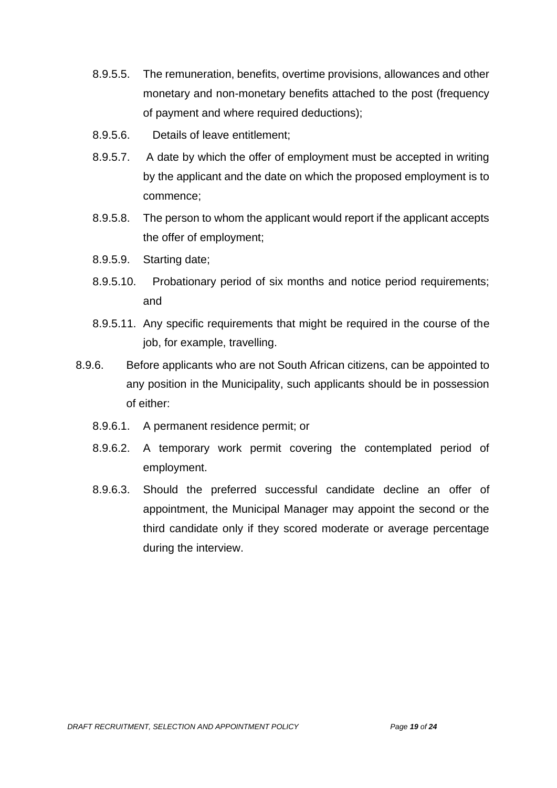- 8.9.5.5. The remuneration, benefits, overtime provisions, allowances and other monetary and non-monetary benefits attached to the post (frequency of payment and where required deductions);
- 8.9.5.6. Details of leave entitlement;
- 8.9.5.7. A date by which the offer of employment must be accepted in writing by the applicant and the date on which the proposed employment is to commence;
- 8.9.5.8. The person to whom the applicant would report if the applicant accepts the offer of employment;
- 8.9.5.9. Starting date;
- 8.9.5.10. Probationary period of six months and notice period requirements; and
- 8.9.5.11. Any specific requirements that might be required in the course of the job, for example, travelling.
- 8.9.6. Before applicants who are not South African citizens, can be appointed to any position in the Municipality, such applicants should be in possession of either:
	- 8.9.6.1. A permanent residence permit; or
	- 8.9.6.2. A temporary work permit covering the contemplated period of employment.
	- 8.9.6.3. Should the preferred successful candidate decline an offer of appointment, the Municipal Manager may appoint the second or the third candidate only if they scored moderate or average percentage during the interview.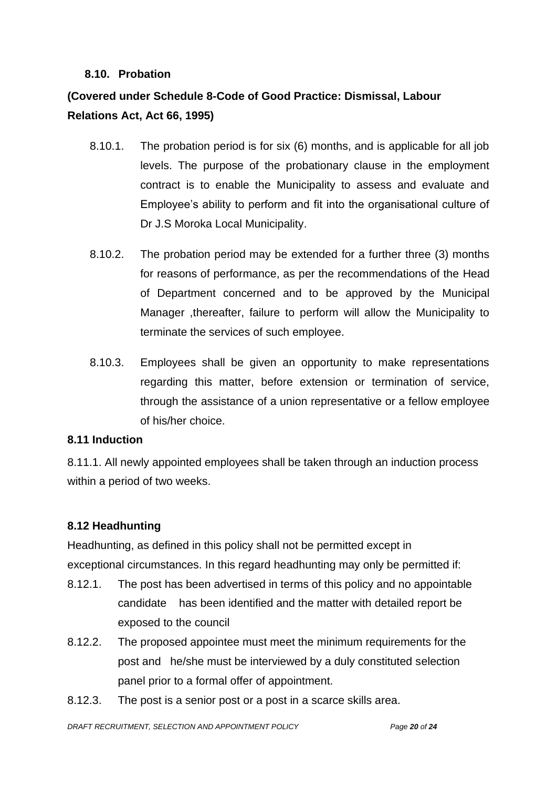#### **8.10. Probation**

# **(Covered under Schedule 8-Code of Good Practice: Dismissal, Labour Relations Act, Act 66, 1995)**

- 8.10.1. The probation period is for six (6) months, and is applicable for all job levels. The purpose of the probationary clause in the employment contract is to enable the Municipality to assess and evaluate and Employee's ability to perform and fit into the organisational culture of Dr J.S Moroka Local Municipality.
- 8.10.2. The probation period may be extended for a further three (3) months for reasons of performance, as per the recommendations of the Head of Department concerned and to be approved by the Municipal Manager ,thereafter, failure to perform will allow the Municipality to terminate the services of such employee.
- 8.10.3. Employees shall be given an opportunity to make representations regarding this matter, before extension or termination of service, through the assistance of a union representative or a fellow employee of his/her choice.

### **8.11 Induction**

8.11.1. All newly appointed employees shall be taken through an induction process within a period of two weeks.

### **8.12 Headhunting**

Headhunting, as defined in this policy shall not be permitted except in exceptional circumstances. In this regard headhunting may only be permitted if:

- 8.12.1. The post has been advertised in terms of this policy and no appointable candidate has been identified and the matter with detailed report be exposed to the council
- 8.12.2. The proposed appointee must meet the minimum requirements for the post and he/she must be interviewed by a duly constituted selection panel prior to a formal offer of appointment.
- 8.12.3. The post is a senior post or a post in a scarce skills area.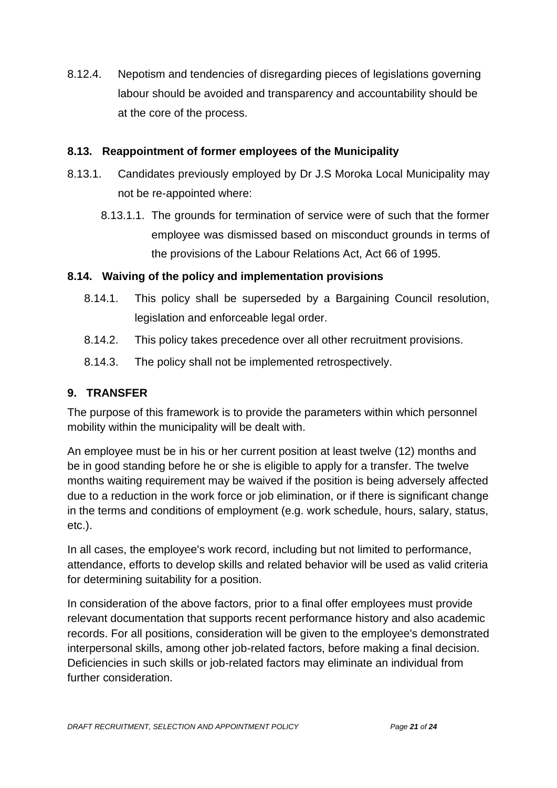8.12.4. Nepotism and tendencies of disregarding pieces of legislations governing labour should be avoided and transparency and accountability should be at the core of the process.

### **8.13. Reappointment of former employees of the Municipality**

- 8.13.1. Candidates previously employed by Dr J.S Moroka Local Municipality may not be re-appointed where:
	- 8.13.1.1. The grounds for termination of service were of such that the former employee was dismissed based on misconduct grounds in terms of the provisions of the Labour Relations Act, Act 66 of 1995.

### **8.14. Waiving of the policy and implementation provisions**

- 8.14.1. This policy shall be superseded by a Bargaining Council resolution, legislation and enforceable legal order.
- 8.14.2. This policy takes precedence over all other recruitment provisions.
- 8.14.3. The policy shall not be implemented retrospectively.

# **9. TRANSFER**

The purpose of this framework is to provide the parameters within which personnel mobility within the municipality will be dealt with.

An employee must be in his or her current position at least twelve (12) months and be in good standing before he or she is eligible to apply for a transfer. The twelve months waiting requirement may be waived if the position is being adversely affected due to a reduction in the work force or job elimination, or if there is significant change in the terms and conditions of employment (e.g. work schedule, hours, salary, status, etc.).

In all cases, the employee's work record, including but not limited to performance, attendance, efforts to develop skills and related behavior will be used as valid criteria for determining suitability for a position.

In consideration of the above factors, prior to a final offer employees must provide relevant documentation that supports recent performance history and also academic records. For all positions, consideration will be given to the employee's demonstrated interpersonal skills, among other job-related factors, before making a final decision. Deficiencies in such skills or job-related factors may eliminate an individual from further consideration.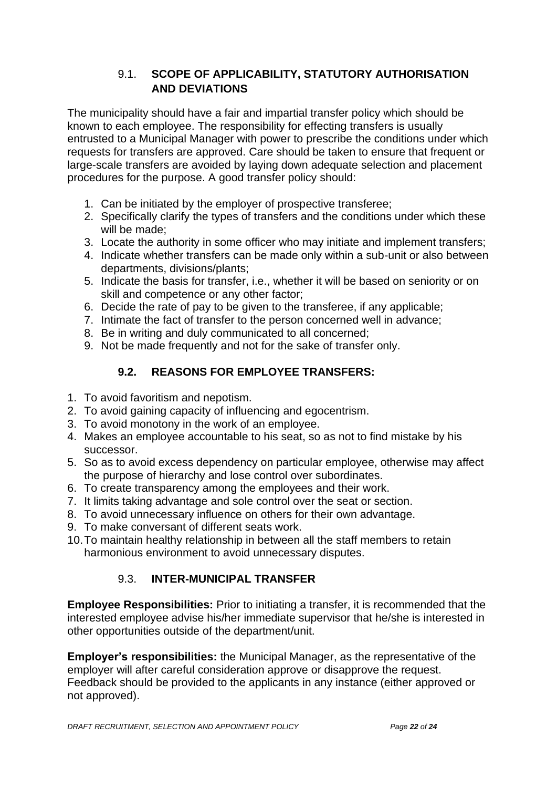### 9.1. **SCOPE OF APPLICABILITY, STATUTORY AUTHORISATION AND DEVIATIONS**

The municipality should have a fair and impartial transfer policy which should be known to each employee. The responsibility for effecting transfers is usually entrusted to a Municipal Manager with power to prescribe the conditions under which requests for transfers are approved. Care should be taken to ensure that frequent or large-scale transfers are avoided by laying down adequate selection and placement procedures for the purpose. A good transfer policy should:

- 1. Can be initiated by the employer of prospective transferee;
- 2. Specifically clarify the types of transfers and the conditions under which these will be made;
- 3. Locate the authority in some officer who may initiate and implement transfers;
- 4. Indicate whether transfers can be made only within a sub-unit or also between departments, divisions/plants;
- 5. Indicate the basis for transfer, i.e., whether it will be based on seniority or on skill and competence or any other factor;
- 6. Decide the rate of pay to be given to the transferee, if any applicable;
- 7. Intimate the fact of transfer to the person concerned well in advance;
- 8. Be in writing and duly communicated to all concerned;
- 9. Not be made frequently and not for the sake of transfer only.

## **9.2. REASONS FOR EMPLOYEE TRANSFERS:**

- 1. To avoid favoritism and nepotism.
- 2. To avoid gaining capacity of influencing and egocentrism.
- 3. To avoid monotony in the work of an employee.
- 4. Makes an employee accountable to his seat, so as not to find mistake by his successor.
- 5. So as to avoid excess dependency on particular employee, otherwise may affect the purpose of hierarchy and lose control over subordinates.
- 6. To create transparency among the employees and their work.
- 7. It limits taking advantage and sole control over the seat or section.
- 8. To avoid unnecessary influence on others for their own advantage.
- 9. To make conversant of different seats work.
- 10.To maintain healthy relationship in between all the staff members to retain harmonious environment to avoid unnecessary disputes.

### 9.3. **INTER-MUNICIPAL TRANSFER**

**Employee Responsibilities:** Prior to initiating a transfer, it is recommended that the interested employee advise his/her immediate supervisor that he/she is interested in other opportunities outside of the department/unit.

**Employer's responsibilities:** the Municipal Manager, as the representative of the employer will after careful consideration approve or disapprove the request. Feedback should be provided to the applicants in any instance (either approved or not approved).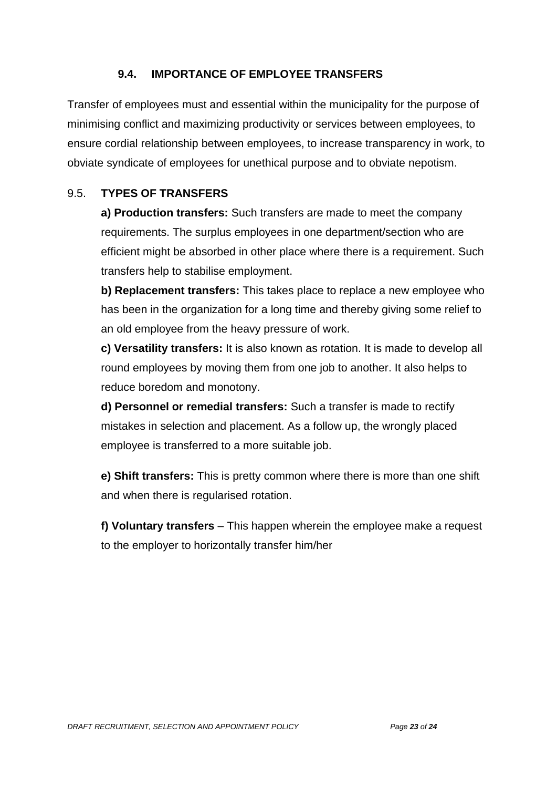### **9.4. IMPORTANCE OF EMPLOYEE TRANSFERS**

Transfer of employees must and essential within the municipality for the purpose of minimising conflict and maximizing productivity or services between employees, to ensure cordial relationship between employees, to increase transparency in work, to obviate syndicate of employees for unethical purpose and to obviate nepotism.

### 9.5. **TYPES OF TRANSFERS**

**a) Production transfers:** Such transfers are made to meet the company requirements. The surplus employees in one department/section who are efficient might be absorbed in other place where there is a requirement. Such transfers help to stabilise employment.

**b) Replacement transfers:** This takes place to replace a new employee who has been in the organization for a long time and thereby giving some relief to an old employee from the heavy pressure of work.

**c) Versatility transfers:** It is also known as rotation. It is made to develop all round employees by moving them from one job to another. It also helps to reduce boredom and monotony.

**d) Personnel or remedial transfers:** Such a transfer is made to rectify mistakes in selection and placement. As a follow up, the wrongly placed employee is transferred to a more suitable job.

**e) Shift transfers:** This is pretty common where there is more than one shift and when there is regularised rotation.

**f) Voluntary transfers** – This happen wherein the employee make a request to the employer to horizontally transfer him/her